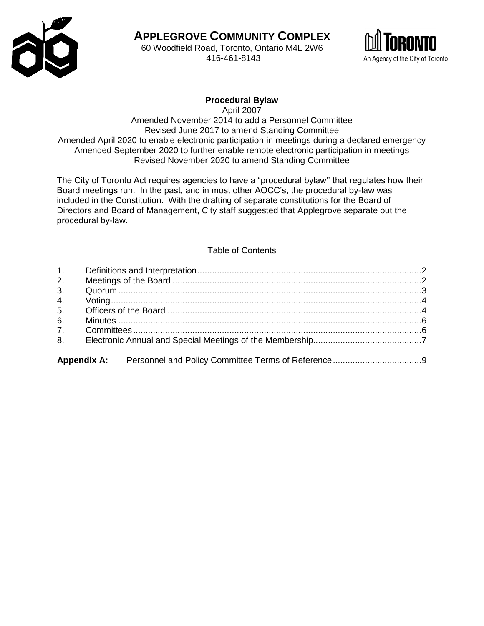

**APPLEGROVE COMMUNITY COMPLEX** 60 Woodfield Road, Toronto, Ontario M4L 2W6



# **Procedural Bylaw**

April 2007 Amended November 2014 to add a Personnel Committee Revised June 2017 to amend Standing Committee Amended April 2020 to enable electronic participation in meetings during a declared emergency Amended September 2020 to further enable remote electronic participation in meetings Revised November 2020 to amend Standing Committee

The City of Toronto Act requires agencies to have a "procedural bylaw'' that regulates how their Board meetings run. In the past, and in most other AOCC's, the procedural by-law was included in the Constitution. With the drafting of separate constitutions for the Board of Directors and Board of Management, City staff suggested that Applegrove separate out the procedural by-law.

### Table of Contents

| 1. |  |
|----|--|
| 2. |  |
| 3. |  |
| 4. |  |
| 5. |  |
| 6. |  |
| 7. |  |
| 8. |  |
|    |  |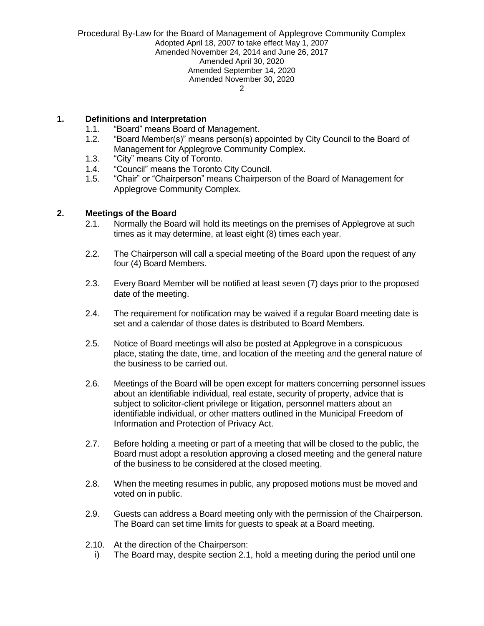### <span id="page-1-0"></span>**1. Definitions and Interpretation**

- 1.1. "Board" means Board of Management.
- 1.2. "Board Member(s)" means person(s) appointed by City Council to the Board of Management for Applegrove Community Complex.
- 1.3. "City" means City of Toronto.
- 1.4. "Council" means the Toronto City Council.
- 1.5. "Chair" or "Chairperson" means Chairperson of the Board of Management for Applegrove Community Complex.

### <span id="page-1-1"></span>**2. Meetings of the Board**

- 2.1. Normally the Board will hold its meetings on the premises of Applegrove at such times as it may determine, at least eight (8) times each year.
- 2.2. The Chairperson will call a special meeting of the Board upon the request of any four (4) Board Members.
- 2.3. Every Board Member will be notified at least seven (7) days prior to the proposed date of the meeting.
- 2.4. The requirement for notification may be waived if a regular Board meeting date is set and a calendar of those dates is distributed to Board Members.
- 2.5. Notice of Board meetings will also be posted at Applegrove in a conspicuous place, stating the date, time, and location of the meeting and the general nature of the business to be carried out.
- 2.6. Meetings of the Board will be open except for matters concerning personnel issues about an identifiable individual, real estate, security of property, advice that is subject to solicitor-client privilege or litigation, personnel matters about an identifiable individual, or other matters outlined in the Municipal Freedom of Information and Protection of Privacy Act.
- 2.7. Before holding a meeting or part of a meeting that will be closed to the public, the Board must adopt a resolution approving a closed meeting and the general nature of the business to be considered at the closed meeting.
- 2.8. When the meeting resumes in public, any proposed motions must be moved and voted on in public.
- 2.9. Guests can address a Board meeting only with the permission of the Chairperson. The Board can set time limits for guests to speak at a Board meeting.
- 2.10. At the direction of the Chairperson:
	- i) The Board may, despite section 2.1, hold a meeting during the period until one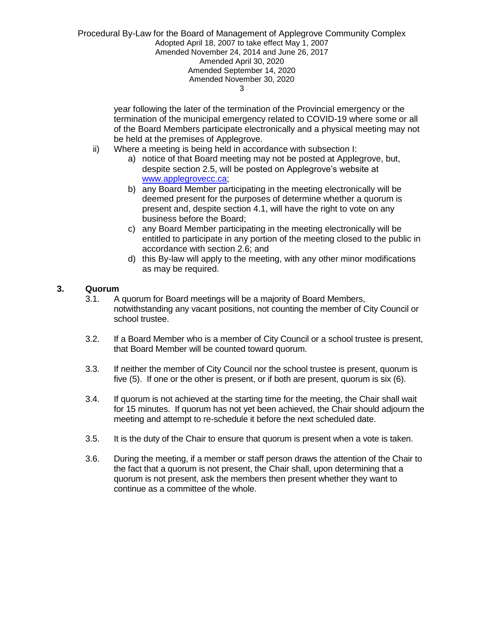> year following the later of the termination of the Provincial emergency or the termination of the municipal emergency related to COVID-19 where some or all of the Board Members participate electronically and a physical meeting may not be held at the premises of Applegrove.

- ii) Where a meeting is being held in accordance with subsection I:
	- a) notice of that Board meeting may not be posted at Applegrove, but, despite section 2.5, will be posted on Applegrove's website at [www.applegrovecc.ca;](http://www.applegrovecc.ca/)
	- b) any Board Member participating in the meeting electronically will be deemed present for the purposes of determine whether a quorum is present and, despite section 4.1, will have the right to vote on any business before the Board;
	- c) any Board Member participating in the meeting electronically will be entitled to participate in any portion of the meeting closed to the public in accordance with section 2.6; and
	- d) this By-law will apply to the meeting, with any other minor modifications as may be required.

## <span id="page-2-0"></span>**3. Quorum**

- 3.1. A quorum for Board meetings will be a majority of Board Members, notwithstanding any vacant positions, not counting the member of City Council or school trustee.
- 3.2. If a Board Member who is a member of City Council or a school trustee is present, that Board Member will be counted toward quorum.
- 3.3. If neither the member of City Council nor the school trustee is present, quorum is five (5). If one or the other is present, or if both are present, quorum is six (6).
- 3.4. If quorum is not achieved at the starting time for the meeting, the Chair shall wait for 15 minutes. If quorum has not yet been achieved, the Chair should adjourn the meeting and attempt to re-schedule it before the next scheduled date.
- 3.5. It is the duty of the Chair to ensure that quorum is present when a vote is taken.
- <span id="page-2-1"></span>3.6. During the meeting, if a member or staff person draws the attention of the Chair to the fact that a quorum is not present, the Chair shall, upon determining that a quorum is not present, ask the members then present whether they want to continue as a committee of the whole.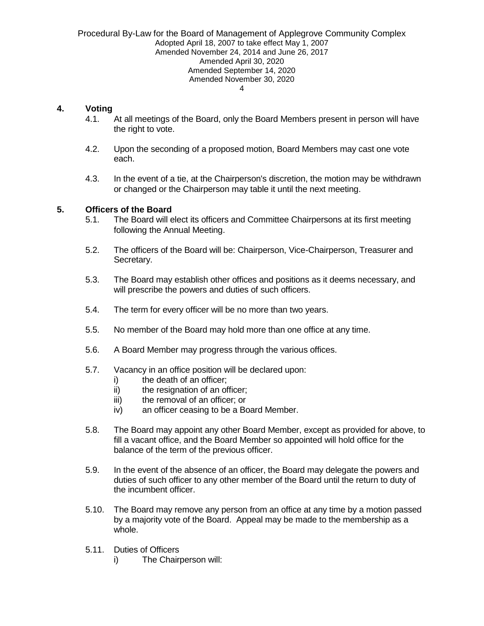### **4. Voting**

- 4.1. At all meetings of the Board, only the Board Members present in person will have the right to vote.
- 4.2. Upon the seconding of a proposed motion, Board Members may cast one vote each.
- 4.3. In the event of a tie, at the Chairperson's discretion, the motion may be withdrawn or changed or the Chairperson may table it until the next meeting.

### <span id="page-3-0"></span>**5. Officers of the Board**

- 5.1. The Board will elect its officers and Committee Chairpersons at its first meeting following the Annual Meeting.
- 5.2. The officers of the Board will be: Chairperson, Vice-Chairperson, Treasurer and Secretary.
- 5.3. The Board may establish other offices and positions as it deems necessary, and will prescribe the powers and duties of such officers.
- 5.4. The term for every officer will be no more than two years.
- 5.5. No member of the Board may hold more than one office at any time.
- 5.6. A Board Member may progress through the various offices.
- 5.7. Vacancy in an office position will be declared upon:
	- i) the death of an officer:
	- ii) the resignation of an officer;
	- iii) the removal of an officer; or
	- iv) an officer ceasing to be a Board Member.
- 5.8. The Board may appoint any other Board Member, except as provided for above, to fill a vacant office, and the Board Member so appointed will hold office for the balance of the term of the previous officer.
- 5.9. In the event of the absence of an officer, the Board may delegate the powers and duties of such officer to any other member of the Board until the return to duty of the incumbent officer.
- 5.10. The Board may remove any person from an office at any time by a motion passed by a majority vote of the Board. Appeal may be made to the membership as a whole.
- 5.11. Duties of Officers
	- i) The Chairperson will: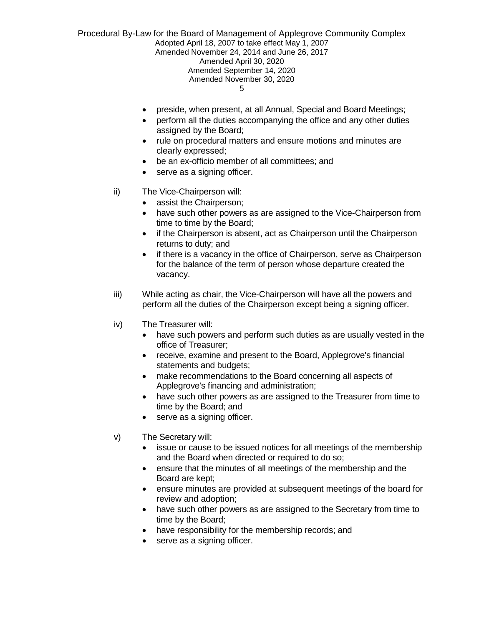- preside, when present, at all Annual, Special and Board Meetings;
- perform all the duties accompanying the office and any other duties assigned by the Board;
- rule on procedural matters and ensure motions and minutes are clearly expressed;
- be an ex-officio member of all committees; and
- serve as a signing officer.
- ii) The Vice-Chairperson will:
	- assist the Chairperson;
	- have such other powers as are assigned to the Vice-Chairperson from time to time by the Board;
	- if the Chairperson is absent, act as Chairperson until the Chairperson returns to duty; and
	- if there is a vacancy in the office of Chairperson, serve as Chairperson for the balance of the term of person whose departure created the vacancy.
- iii) While acting as chair, the Vice-Chairperson will have all the powers and perform all the duties of the Chairperson except being a signing officer.
- iv) The Treasurer will:
	- have such powers and perform such duties as are usually vested in the office of Treasurer;
	- receive, examine and present to the Board, Applegrove's financial statements and budgets;
	- make recommendations to the Board concerning all aspects of Applegrove's financing and administration;
	- have such other powers as are assigned to the Treasurer from time to time by the Board; and
	- serve as a signing officer.
- v) The Secretary will:
	- issue or cause to be issued notices for all meetings of the membership and the Board when directed or required to do so;
	- ensure that the minutes of all meetings of the membership and the Board are kept;
	- ensure minutes are provided at subsequent meetings of the board for review and adoption;
	- have such other powers as are assigned to the Secretary from time to time by the Board;
	- have responsibility for the membership records; and
	- serve as a signing officer.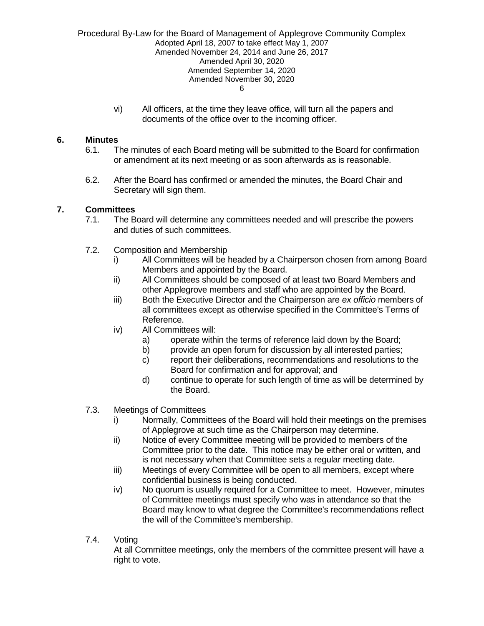> vi) All officers, at the time they leave office, will turn all the papers and documents of the office over to the incoming officer.

### <span id="page-5-0"></span>**6. Minutes**

- 6.1. The minutes of each Board meting will be submitted to the Board for confirmation or amendment at its next meeting or as soon afterwards as is reasonable.
- 6.2. After the Board has confirmed or amended the minutes, the Board Chair and Secretary will sign them.

### <span id="page-5-1"></span>**7. Committees**

- 7.1. The Board will determine any committees needed and will prescribe the powers and duties of such committees.
- 7.2. Composition and Membership
	- i) All Committees will be headed by a Chairperson chosen from among Board Members and appointed by the Board.
	- ii) All Committees should be composed of at least two Board Members and other Applegrove members and staff who are appointed by the Board.
	- iii) Both the Executive Director and the Chairperson are *ex officio* members of all committees except as otherwise specified in the Committee's Terms of Reference.
	- iv) All Committees will:
		- a) operate within the terms of reference laid down by the Board;
		- b) provide an open forum for discussion by all interested parties;
		- c) report their deliberations, recommendations and resolutions to the Board for confirmation and for approval; and
		- d) continue to operate for such length of time as will be determined by the Board.
- 7.3. Meetings of Committees
	- i) Normally, Committees of the Board will hold their meetings on the premises of Applegrove at such time as the Chairperson may determine.
	- ii) Notice of every Committee meeting will be provided to members of the Committee prior to the date. This notice may be either oral or written, and is not necessary when that Committee sets a regular meeting date.
	- iii) Meetings of every Committee will be open to all members, except where confidential business is being conducted.
	- iv) No quorum is usually required for a Committee to meet. However, minutes of Committee meetings must specify who was in attendance so that the Board may know to what degree the Committee's recommendations reflect the will of the Committee's membership.
- 7.4. Voting

At all Committee meetings, only the members of the committee present will have a right to vote.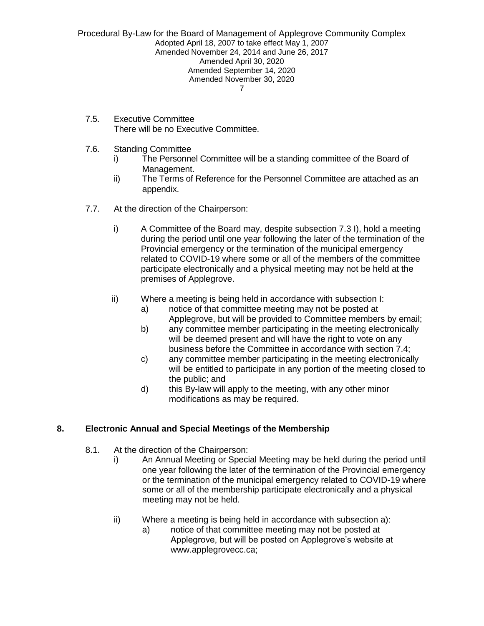- 7.5. Executive Committee There will be no Executive Committee.
- 7.6. Standing Committee
	- i) The Personnel Committee will be a standing committee of the Board of Management.
	- ii) The Terms of Reference for the Personnel Committee are attached as an appendix.
- 7.7. At the direction of the Chairperson:
	- i) A Committee of the Board may, despite subsection 7.3 I), hold a meeting during the period until one year following the later of the termination of the Provincial emergency or the termination of the municipal emergency related to COVID-19 where some or all of the members of the committee participate electronically and a physical meeting may not be held at the premises of Applegrove.
	- ii) Where a meeting is being held in accordance with subsection I:
		- a) notice of that committee meeting may not be posted at Applegrove, but will be provided to Committee members by email;
		- b) any committee member participating in the meeting electronically will be deemed present and will have the right to vote on any business before the Committee in accordance with section 7.4;
		- c) any committee member participating in the meeting electronically will be entitled to participate in any portion of the meeting closed to the public; and
		- d) this By-law will apply to the meeting, with any other minor modifications as may be required.

# <span id="page-6-0"></span>**8. Electronic Annual and Special Meetings of the Membership**

- 8.1. At the direction of the Chairperson:
	- i) An Annual Meeting or Special Meeting may be held during the period until one year following the later of the termination of the Provincial emergency or the termination of the municipal emergency related to COVID-19 where some or all of the membership participate electronically and a physical meeting may not be held.
	- ii) Where a meeting is being held in accordance with subsection a):
		- a) notice of that committee meeting may not be posted at Applegrove, but will be posted on Applegrove's website at [www.applegrovecc.ca;](http://www.applegrovecc.ca/)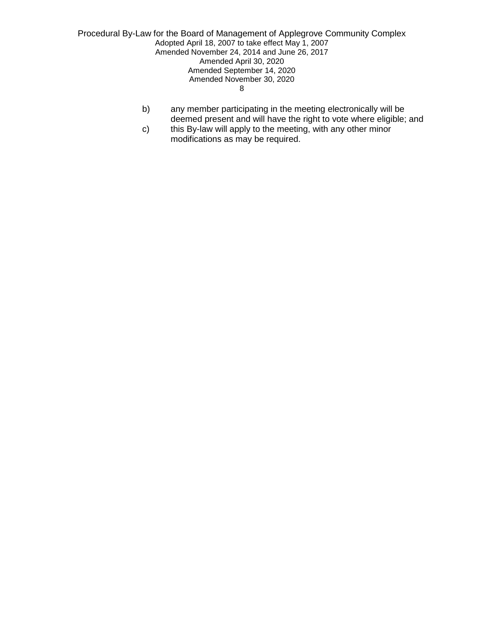- b) any member participating in the meeting electronically will be deemed present and will have the right to vote where eligible; and
- c) this By-law will apply to the meeting, with any other minor modifications as may be required.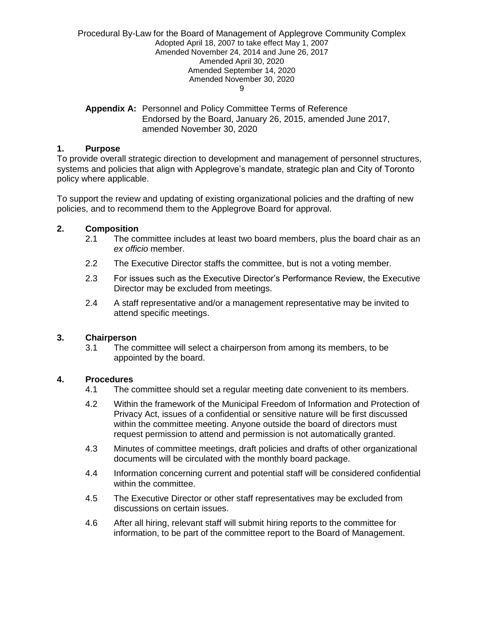<span id="page-8-0"></span>**Appendix A:** Personnel and Policy Committee Terms of Reference Endorsed by the Board, January 26, 2015, amended June 2017, amended November 30, 2020

### **1. Purpose**

To provide overall strategic direction to development and management of personnel structures, systems and policies that align with Applegrove's mandate, strategic plan and City of Toronto policy where applicable.

To support the review and updating of existing organizational policies and the drafting of new policies, and to recommend them to the Applegrove Board for approval.

### **2. Composition**

- 2.1 The committee includes at least two board members, plus the board chair as an *ex officio* member.
- 2.2 The Executive Director staffs the committee, but is not a voting member.
- 2.3 For issues such as the Executive Director's Performance Review, the Executive Director may be excluded from meetings.
- 2.4 A staff representative and/or a management representative may be invited to attend specific meetings.

### **3. Chairperson**

3.1 The committee will select a chairperson from among its members, to be appointed by the board.

### **4. Procedures**

- 4.1 The committee should set a regular meeting date convenient to its members.
- 4.2 Within the framework of the Municipal Freedom of Information and Protection of Privacy Act, issues of a confidential or sensitive nature will be first discussed within the committee meeting. Anyone outside the board of directors must request permission to attend and permission is not automatically granted.
- 4.3 Minutes of committee meetings, draft policies and drafts of other organizational documents will be circulated with the monthly board package.
- 4.4 Information concerning current and potential staff will be considered confidential within the committee.
- 4.5 The Executive Director or other staff representatives may be excluded from discussions on certain issues.
- 4.6 After all hiring, relevant staff will submit hiring reports to the committee for information, to be part of the committee report to the Board of Management.